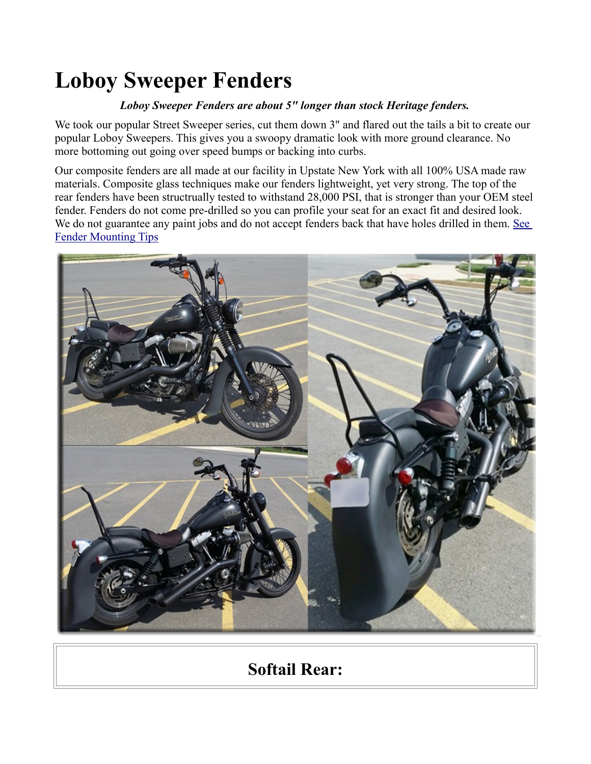# **Loboy Sweeper Fenders**

#### *Loboy Sweeper Fenders are about 5" longer than stock Heritage fenders.*

We took our popular Street Sweeper series, cut them down 3" and flared out the tails a bit to create our popular Loboy Sweepers. This gives you a swoopy dramatic look with more ground clearance. No more bottoming out going over speed bumps or backing into curbs.

Our composite fenders are all made at our facility in Upstate New York with all 100% USA made raw materials. Composite glass techniques make our fenders lightweight, yet very strong. The top of the rear fenders have been structrually tested to withstand 28,000 PSI, that is stronger than your OEM steel fender. Fenders do not come pre-drilled so you can profile your seat for an exact fit and desired look. We do not guarantee any paint jobs and do not accept fenders back that have holes drilled in them. See [Fender Mounting Tips](http://sumax.com/Instructions/Fender%20Mounting%20Tips.pdf)



# **Softail Rear:**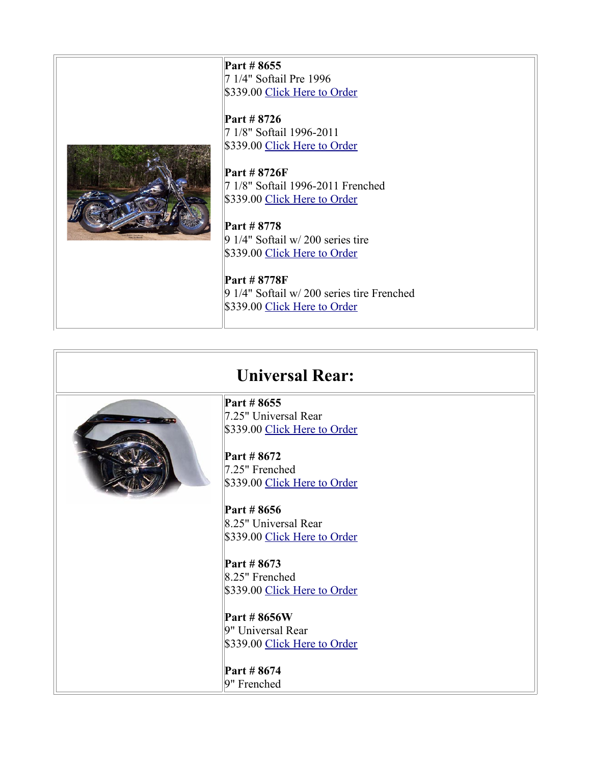**Part # 8655** 7 1/4" Softail Pre 1996 \$339.00 [Click Here to Order](http://sumax.stores.yahoo.net/8655.html)

**Part # 8726** 7 1/8" Softail 1996-2011 \$339.00 [Click Here to Order](http://sumax.stores.yahoo.net/8726.html)



**Part # 8726F** 7 1/8" Softail 1996-2011 Frenched \$339.00 [Click Here to Order](http://sumax.stores.yahoo.net/8726f.html)

**Part # 8778** 9 1/4" Softail w/ 200 series tire \$339.00 [Click Here to Order](http://sumax.stores.yahoo.net/8778.html)

**Part # 8778F** 9 1/4" Softail w/ 200 series tire Frenched \$339.00 [Click Here to Order](http://sumax.stores.yahoo.net/8778f.html)

# **Universal Rear:**



**Part # 8655** 7.25" Universal Rear \$339.00 [Click Here to Order](http://sumax.stores.yahoo.net/8655.html)

**Part # 8672** 7.25" Frenched \$339.00 [Click Here to Order](http://sumax.stores.yahoo.net/8672.html)

**Part # 8656** 8.25" Universal Rear \$339.00 [Click Here to Order](http://sumax.stores.yahoo.net/8656.html)

**Part # 8673** 8.25" Frenched \$339.00 [Click Here to Order](http://sumax.stores.yahoo.net/8673.html)

**Part # 8656W** 9" Universal Rear \$339.00 [Click Here to Order](http://sumax.stores.yahoo.net/8656w.html)

**Part # 8674** 9" Frenched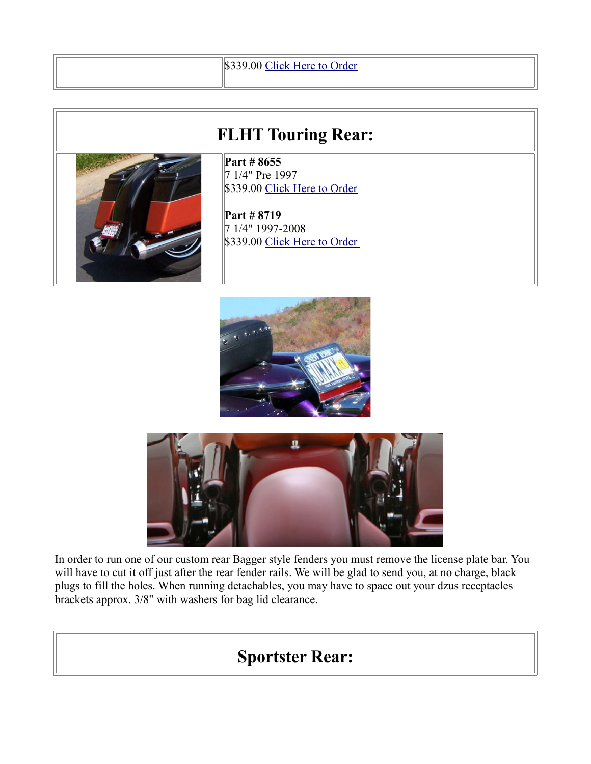### \$339.00 [Click Here to Order](http://sumax.stores.yahoo.net/8674.html)

### **FLHT Touring Rear:**



**Part # 8655** 7 1/4" Pre 1997 \$339.00 [Click Here to Order](http://sumax.stores.yahoo.net/8655.html)

**Part # 8719** 7 1/4" 1997-2008 \$339.00 Click Here to Order





In order to run one of our custom rear Bagger style fenders you must remove the license plate bar. You will have to cut it off just after the rear fender rails. We will be glad to send you, at no charge, black plugs to fill the holes. When running detachables, you may have to space out your dzus receptacles brackets approx. 3/8" with washers for bag lid clearance.

### **Sportster Rear:**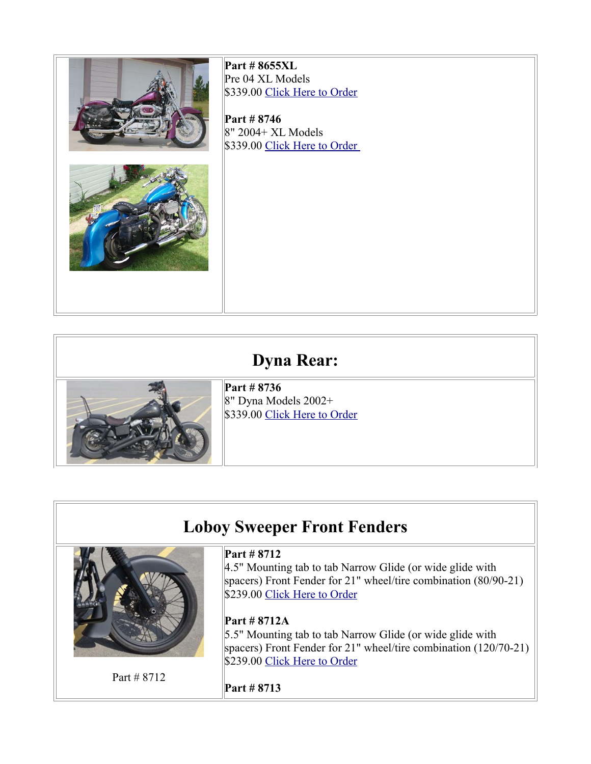

# **Dyna Rear:**



**Part # 8736** 8" Dyna Models 2002+ \$339.00 [Click Here to Order](http://sumax.stores.yahoo.net/neloswdy20mo.html)

### **Loboy Sweeper Front Fenders**



Part # 8712

#### **Part # 8712**

4.5" Mounting tab to tab Narrow Glide (or wide glide with spacers) Front Fender for 21" wheel/tire combination (80/90-21) \$239.00 [Click Here to Order](http://store.yahoo.com/sumax/8712.html)

#### **Part # 8712A**

5.5" Mounting tab to tab Narrow Glide (or wide glide with spacers) Front Fender for 21" wheel/tire combination (120/70-21) \$239.00 [Click Here to Order](http://store.yahoo.com/sumax/8712a.html)

**Part # 8713**